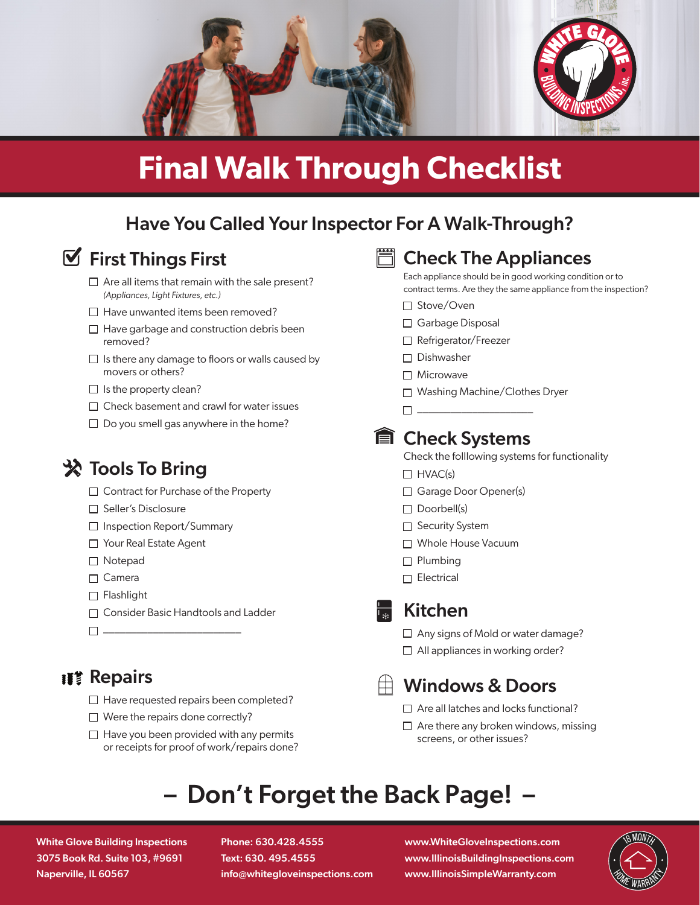

# **Final Walk Through Checklist**

# Have You Called Your Inspector For A Walk-Through?



# $\mathbf{\nabla}$  First Things First

- $\Box$  Are all items that remain with the sale present? *(Appliances, Light Fixtures, etc.)*
- $\Box$  Have unwanted items been removed?
- $\Box$  Have garbage and construction debris been removed?
- $\Box$  Is there any damage to floors or walls caused by movers or others?
- $\Box$  Is the property clean?
- $\Box$  Check basement and crawl for water issues
- $\Box$  Do you smell gas anywhere in the home?

# **※ Tools To Bring**

- $\Box$  Contract for Purchase of the Property
- □ Seller's Disclosure
- □ Inspection Report/Summary
- □ Your Real Estate Agent
- Notepad
- □ Camera
- $\Box$  Flashlight
- □ Consider Basic Handtools and Ladder
- \_\_\_\_\_\_\_\_\_\_\_\_\_\_\_\_\_\_\_\_\_\_\_\_\_

## **IIII Repairs**

- $\Box$  Have requested repairs been completed?
- $\Box$  Were the repairs done correctly?
- $\Box$  Have you been provided with any permits or receipts for proof of work/repairs done?



### Check The Appliances

Each appliance should be in good working condition or to contract terms. Are they the same appliance from the inspection?

- □ Stove/Oven
- □ Garbage Disposal
- □ Refrigerator/Freezer
- $\square$  Dishwasher
- Microwave
- □ Washing Machine/Clothes Dryer
- $\Box$

### **■ Check Systems**

Check the folllowing systems for functionality

- $\Box$  HVAC(s)
- □ Garage Door Opener(s)
- $\Box$  Doorbell(s)
- □ Security System
- □ Whole House Vacuum
- $\Box$  Plumbing
- $\Box$  Electrical
- 

## Kitchen

- $\Box$  Any signs of Mold or water damage?
- $\Box$  All appliances in working order?

# Windows & Doors

- $\Box$  Are all latches and locks functional?
- $\Box$  Are there any broken windows, missing screens, or other issues?

# – Don't Forget the Back Page! –

White Glove Building Inspections 3075 Book Rd. Suite 103, #9691 Naperville, IL 60567

Phone: 630.428.4555 Text: 630. 495.4555 info@whitegloveinspections.com

www.WhiteGloveInspections.com www.IllinoisBuildingInspections.com www.IllinoisSimpleWarranty.com